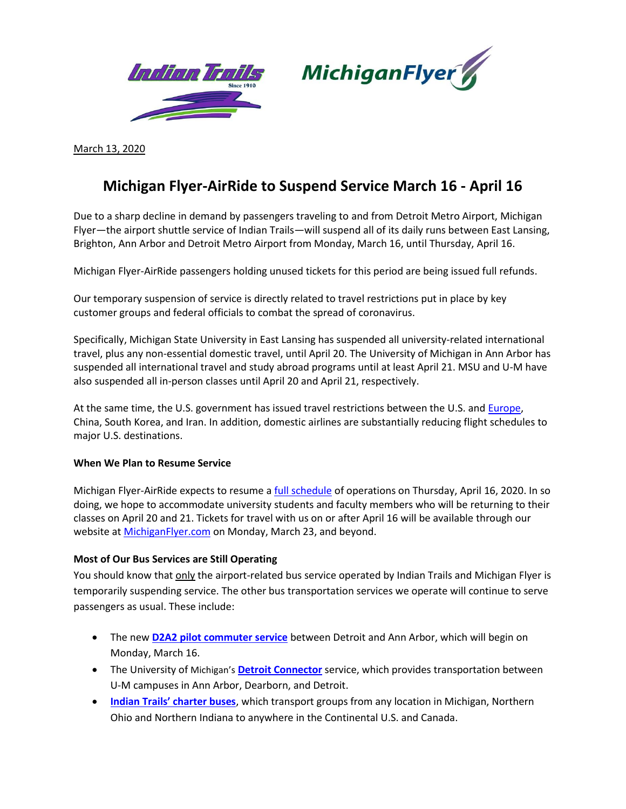



March 13, 2020

## **Michigan Flyer-AirRide to Suspend Service March 16 - April 16**

Due to a sharp decline in demand by passengers traveling to and from Detroit Metro Airport, Michigan Flyer—the airport shuttle service of Indian Trails—will suspend all of its daily runs between East Lansing, Brighton, Ann Arbor and Detroit Metro Airport from Monday, March 16, until Thursday, April 16.

Michigan Flyer-AirRide passengers holding unused tickets for this period are being issued full refunds.

Our temporary suspension of service is directly related to travel restrictions put in place by key customer groups and federal officials to combat the spread of coronavirus.

Specifically, Michigan State University in East Lansing has suspended all university-related international travel, plus any non-essential domestic travel, until April 20. The University of Michigan in Ann Arbor has suspended all international travel and study abroad programs until at least April 21. MSU and U-M have also suspended all in-person classes until April 20 and April 21, respectively.

At the same time, the U.S. government has issued travel restrictions between the U.S. and **Europe**, China, South Korea, and Iran. In addition, domestic airlines are substantially reducing flight schedules to major U.S. destinations.

## **When We Plan to Resume Service**

Michigan Flyer-AirRide expects to resume a [full schedule](https://www.michiganflyer.com/Portals/0/pdf/Michigan%20Flyer-AirRide%20Full%20Schedule-Feb%2010%202020%20v7.pdf?ver=2020-02-17-154825-913) of operations on Thursday, April 16, 2020. In so doing, we hope to accommodate university students and faculty members who will be returning to their classes on April 20 and 21. Tickets for travel with us on or after April 16 will be available through our website at **MichiganFlyer.com** on Monday, March 23, and beyond.

## **Most of Our Bus Services are Still Operating**

You should know that only the airport-related bus service operated by Indian Trails and Michigan Flyer is temporarily suspending service. The other bus transportation services we operate will continue to serve passengers as usual. These include:

- The new **[D2A2 pilot commuter service](https://rtamichigan.org/introducing-d2a2/)** between Detroit and Ann Arbor, which will begin on Monday, March 16.
- The University of Michigan's **[Detroit Connector](https://detroit.umich.edu/transportation/detroit-connector/)** service, which provides transportation between U-M campuses in Ann Arbor, Dearborn, and Detroit.
- **[Indian Trails' charter buses](https://www.indiantrails.com/request-charter-quote)**, which transport groups from any location in Michigan, Northern Ohio and Northern Indiana to anywhere in the Continental U.S. and Canada.